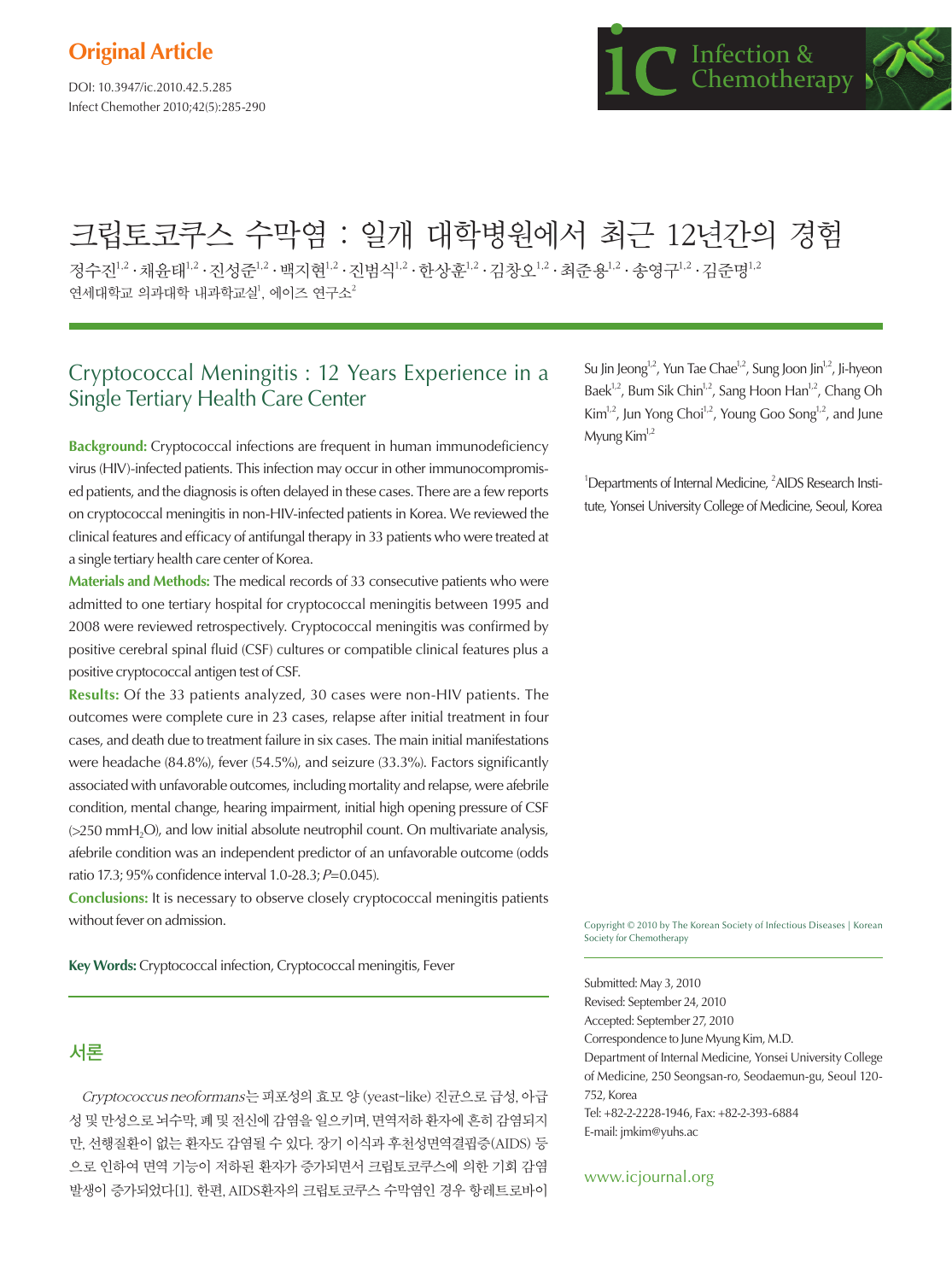DOI: 10.3947/ic.2010.42.5.285 Infect Chemother 2010;42(5):285-290

# 크립토코쿠스 수막염 : 일개 대학병원에서 최근 12년간의 경험

정수진 $^{1,2}\cdot$ 채유태 $^{1,2}\cdot$ 진성준 $^{1,2}\cdot$ 백지현 $^{1,2}\cdot$ 진범식 $^{1,2}\cdot$ 한상훈 $^{1,2}\cdot$ 김중용 $^{1,2}\cdot$ 화장요 $^{1,2}\cdot$ 감증명 $^{1,2}\cdot$ 연세대학교 의과대학 내과학교실<sup>1</sup>, 에이즈 연구소<sup>2</sup>

# Cryptococcal Meningitis : 12 Years Experience in a Single Tertiary Health Care Center

**Background:** Cryptococcal infections are frequent in human immunodeficiency virus (HIV)-infected patients. This infection may occur in other immunocompromised patients, and the diagnosis is often delayed in these cases. There are a few reports on cryptococcal meningitis in non-HIV-infected patients in Korea. We reviewed the clinical features and efficacy of antifungal therapy in 33 patients who were treated at a single tertiary health care center of Korea.

**Materials and Methods:** The medical records of 33 consecutive patients who were admitted to one tertiary hospital for cryptococcal meningitis between 1995 and 2008 were reviewed retrospectively. Cryptococcal meningitis was confirmed by positive cerebral spinal fluid (CSF) cultures or compatible clinical features plus a positive cryptococcal antigen test of CSF.

**Results:** Of the 33 patients analyzed, 30 cases were non-HIV patients. The outcomes were complete cure in 23 cases, relapse after initial treatment in four cases, and death due to treatment failure in six cases. The main initial manifestations were headache (84.8%), fever (54.5%), and seizure (33.3%). Factors significantly associated with unfavorable outcomes, including mortality and relapse, were afebrile condition, mental change, hearing impairment, initial high opening pressure of CSF (>250 mmH<sub>2</sub>O), and low initial absolute neutrophil count. On multivariate analysis, afebrile condition was an independent predictor of an unfavorable outcome (odds ratio 17.3; 95% confidence interval 1.0-28.3; P=0.045).

**Conclusions:** It is necessary to observe closely cryptococcal meningitis patients without fever on admission.

**Key Words:** Cryptococcal infection, Cryptococcal meningitis, Fever

## 서론

Cryptococcus neoformans는 피포성의 효모 양 (yeast-like) 진균으로 급성, 아급 성 및 만성으로 뇌수막, 폐 및 전신에 감염을 일으키며, 면역저하 환자에 흔히 감염되지 만, 선행질환이 없는 환자도 감염될 수 있다. 장기 이식과 후천성면역결핍증(AIDS) 등 으로 인하여 면역 기능이 저하된 환자가 증가되면서 크립토코쿠스에 의한 기회 감염 발생이 증가되었다[1]. 한편, AIDS환자의 크립토코쿠스 수막염인 경우 항레트로바이 Su Jin Jeong<sup>1,2</sup>, Yun Tae Chae<sup>1,2</sup>, Sung Joon Jin<sup>1,2</sup>, Ji-hyeon Baek<sup>1,2</sup>, Bum Sik Chin<sup>1,2</sup>, Sang Hoon Han<sup>1,2</sup>, Chang Oh  $Kim<sup>1,2</sup>, Jun Yong Choi<sup>1,2</sup>, Young Goo Song<sup>1,2</sup>, and June$ Myung  $Kim<sup>1,2</sup>$ 

<sup>1</sup>Departments of Internal Medicine, <sup>2</sup>AIDS Research Institute, Yonsei University College of Medicine, Seoul, Korea

Copyright © 2010 by The Korean Society of Infectious Diseases | Korean Society for Chemotherapy

Submitted: May 3, 2010 Revised: September 24, 2010 Accepted: September 27, 2010 Correspondence to June Myung Kim, M.D. Department of Internal Medicine, Yonsei University College of Medicine, 250 Seongsan-ro, Seodaemun-gu, Seoul 120- 752, Korea Tel: +82-2-2228-1946, Fax: +82-2-393-6884 E-mail: jmkim@yuhs.ac

www.icjournal.org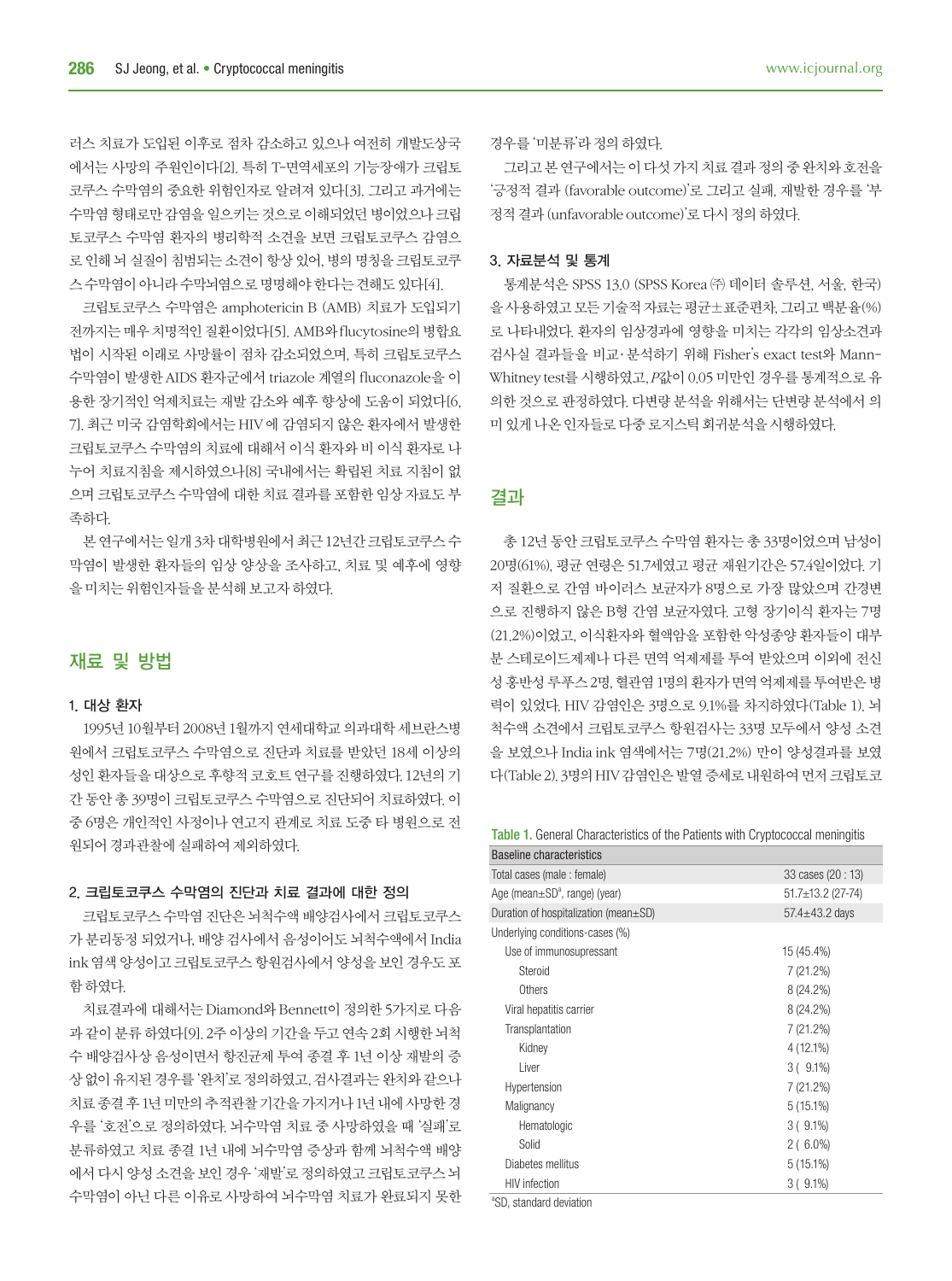러스 치료가 도입된 이후로 점차 감소하고 있으나 여전히 개발도상국 에서는 사망의 주원인이다[2]. 특히 T-면역세포의 기능장애가 크립토 코쿠스 수막염의 중요한 위험인자로 알려져 있다[3]. 그리고 과거에는 수막염 형태로만 감염을 일으키는 것으로 이해되었던 병이었으나 크립 토코쿠스 수막염 환자의 병리학적 소견을 보면 크립토코쿠스 감염으 로 인해 뇌 실질이 침범되는 소견이 항상 있어, 병의 명칭을 크립토코쿠 스 수막염이 아니라 수막뇌염으로 명명해야 한다는 견해도 있다[4].

크립토코쿠스 수막염은 amphotericin B (AMB) 치료가 도입되기 전까지는 매우 치명적인 질환이었다[5]. AMB와 flucytosine의 병합요 법이 시작된 이래로 사망률이 점차 감소되었으며, 특히 크립토코쿠스 수막염이 발생한 AIDS 환자군에서 triazole 계열의 fluconazole을 이 용한 장기적인 억제치료는 재발 감소와 예후 향상에 도움이 되었다[6, 7]. 최근 미국 감염학회에서는 HIV 에 감염되지 않은 환자에서 발생한 크립토코쿠스 수막염의 치료에 대해서 이식 환자와 비 이식 환자로 나 누어 치료지침을 제시하였으나[8] 국내에서는 확립된 치료 지침이 없 으며 크립토코쿠스 수막염에 대한 치료 결과를 포함한 임상 자료도 부 족하다.

본 연구에서는 일개 3차 대학병원에서 최근 12년간 크립토코쿠스 수 막염이 발생한 환자들의 임상 양상을 조사하고, 치료 및 예후에 영향 을 미치는 위험인자들을 분석해 보고자 하였다.

### 재료 및 방법

#### 1. 대상 환자

1995년 10월부터 2008년 1월까지 연세대학교 의과대학 세브란스병 원에서 크립토코쿠스 수막염으로 진단과 치료를 받았던 18세 이상의 성인 환자들을 대상으로 후향적 코호트 연구를 진행하였다. 12년의 기 간 동안 총 39명이 크립토코쿠스 수막염으로 진단되어 치료하였다. 이 중 6명은 개인적인 사정이나 연고지 관계로 치료 도중 타 병원으로 전 원되어 경과관찰에 실패하여 제외하였다.

#### 2. 크립토코쿠스 수막염의 진단과 치료 결과에 대한 정의

크립토코쿠스 수막염 진단은 뇌척수액 배양검사에서 크립토코쿠스 가 분리동정 되었거나, 배양 검사에서 음성이어도 뇌척수액에서 India ink 염색 양성이고 크립토코쿠스 항원검사에서 양성을 보인 경우도 포 함 하였다.

치료결과에 대해서는 Diamond와 Bennett이 정의한 5가지로 다음 과 같이 분류 하였다[9]. 2주 이상의 기간을 두고 연속 2회 시행한 뇌척 수 배양검사상 음성이면서 항진균제 투여 종결 후 1년 이상 재발의 증 상 없이 유지된 경우를 '완치'로 정의하였고, 검사결과는 완치와 같으나 치료 종결 후 1년 미만의 추적관찰 기간을 가지거나 1년 내에 사망한 경 우를 '호전'으로 정의하였다. 뇌수막염 치료 중 사망하였을 때 '실패'로 분류하였고 치료 종결 1년 내에 뇌수막염 증상과 함께 뇌척수액 배양 에서 다시 양성 소견을 보인 경우 '재발'로 정의하였고 크립토코쿠스 뇌 수막염이 아닌 다른 이유로 사망하여 뇌수막염 치료가 완료되지 못한

그리고 본 연구에서는 이 다섯 가지 치료 결과 정의 중 완치와 호전을 '긍정적 결과 (favorable outcome)'로 그리고 실패, 재발한 경우를 '부 정적 결과 (unfavorable outcome)'로 다시 정의 하였다.

#### 3. 자료분석 및 통계

통계분석은 SPSS 13.0 (SPSS Korea ㈜ 데이터 솔루션, 서울, 한국) 을 사용하였고 모든 기술적 자료는 평균±표준편차, 그리고 백분율(%) 로 나타내었다. 환자의 임상경과에 영향을 미치는 각각의 임상소견과 검사실 결과들을 비교·분석하기 위해 Fisher's exact test와 Mann-Whitney test를 시행하였고, P값이 0.05 미만인 경우를 통계적으로 유 의한 것으로 판정하였다. 다변량 분석을 위해서는 단변량 분석에서 의 미 있게 나온 인자들로 다중 로지스틱 회귀분석을 시행하였다.

#### 결과

총 12년 동안 크립토코쿠스 수막염 환자는 총 33명이었으며 남성이 20명(61%), 평균 연령은 51.7세였고 평균 재원기간은 57.4일이었다. 기 저 질환으로 간염 바이러스 보균자가 8명으로 가장 많았으며 간경변 으로 진행하지 않은 B형 간염 보균자였다. 고형 장기이식 환자는 7명 (21.2%)이었고, 이식환자와 혈액암을 포함한 악성종양 환자들이 대부 분 스테로이드제제나 다른 면역 억제제를 투여 받았으며 이외에 전신 성 홍반성 루푸스 2명, 혈관염 1명의 환자가 면역 억제제를 투여받은 병 력이 있었다. HIV 감염인은 3명으로 9.1%를 차지하였다(Table 1). 뇌 척수액 소견에서 크립토코쿠스 항원검사는 33명 모두에서 양성 소견 을 보였으나 India ink 염색에서는 7명(21.2%) 만이 양성결과를 보였 다(Table 2). 3명의 HIV 감염인은 발열 증세로 내원하여 먼저 크립토코

Table 1. General Characteristics of the Patients with Cryptococcal meningitis

| Baseline characteristics                  |                      |
|-------------------------------------------|----------------------|
| Total cases (male: female)                | 33 cases (20 : 13)   |
| Age (mean±SD <sup>ª</sup> , range) (year) | 51.7±13.2 (27-74)    |
| Duration of hospitalization (mean±SD)     | 57.4 $\pm$ 43.2 days |
| Underlying conditions-cases (%)           |                      |
| Use of immunosupressant                   | 15 (45.4%)           |
| Steroid                                   | 7 (21.2%)            |
| Others                                    | 8 (24.2%)            |
| Viral hepatitis carrier                   | 8 (24.2%)            |
| Transplantation                           | 7 (21.2%)            |
| Kidney                                    | 4 (12.1%)            |
| Liver                                     | $3(9.1\%)$           |
| Hypertension                              | 7 (21.2%)            |
| Malignancy                                | $5(15.1\%)$          |
| Hematologic                               | $3(9.1\%)$           |
| Solid                                     | $2(6.0\%)$           |
| Diabetes mellitus                         | $5(15.1\%)$          |
| <b>HIV</b> infection                      | $3(9.1\%)$           |
| 80D attended decided and                  |                      |

<sup>a</sup>SD, standard deviation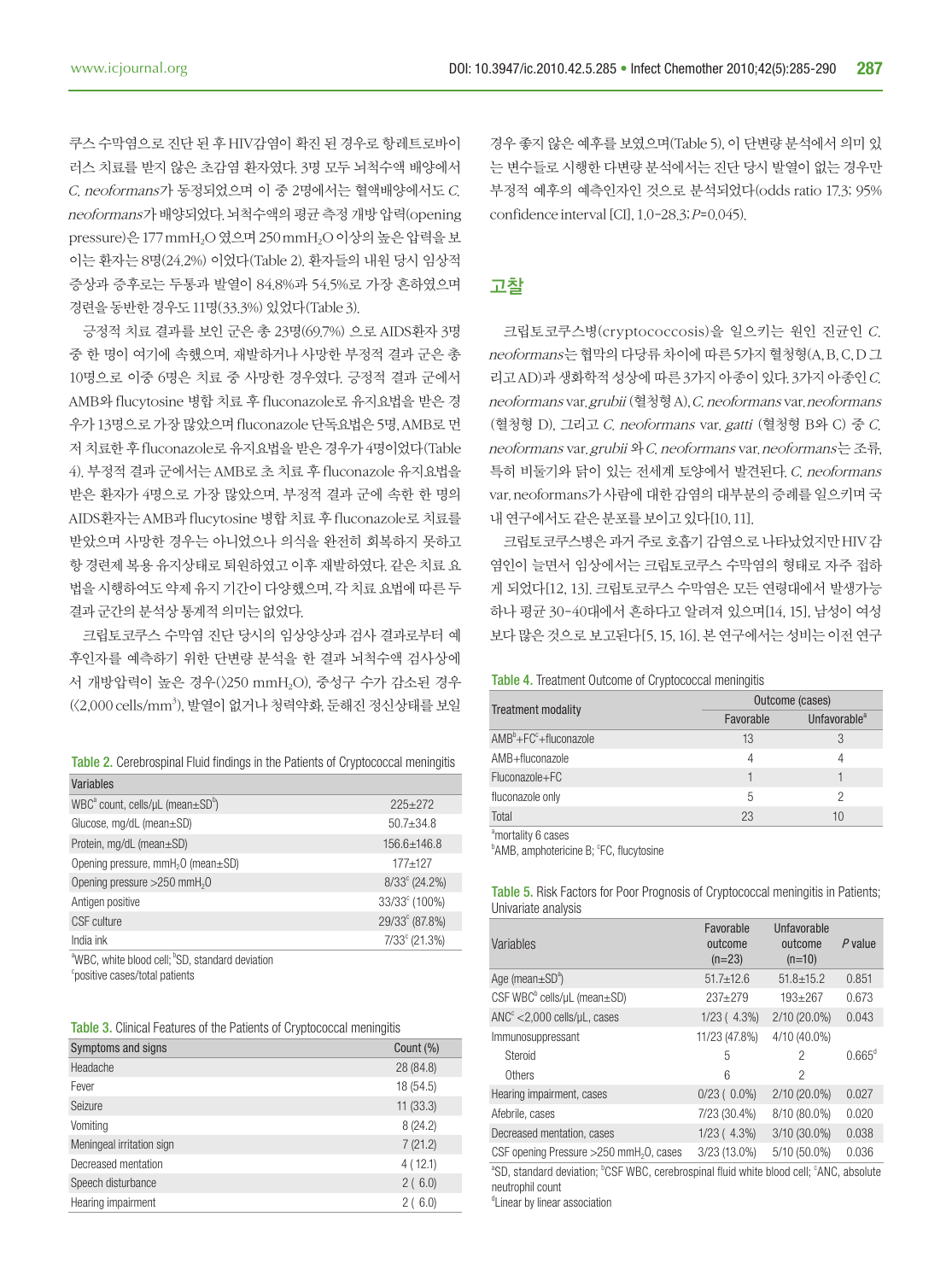쿠스 수막염으로 진단 된 후 HIV감염이 확진 된 경우로 항레트로바이 러스 치료를 받지 않은 초감염 환자였다. 3명 모두 뇌척수액 배양에서 C. neoformans가 동정되었으며 이 중 2명에서는 혈액배양에서도 C. neoformans가 배양되었다. 뇌척수액의 평균 측정 개방 압력(opening pressure)은 177 mmH2O 였으며 250 mmH2O 이상의 높은 압력을 보 이는 환자는 8명(24.2%) 이었다(Table 2). 환자들의 내원 당시 임상적 증상과 증후로는 두통과 발열이 84.8%과 54.5%로 가장 흔하였으며 경련을 동반한 경우도 11명(33.3%) 있었다(Table 3).

긍정적 치료 결과를 보인 군은 총 23명(69.7%) 으로 AIDS환자 3명 중 한 명이 여기에 속했으며, 재발하거나 사망한 부정적 결과 군은 총 10명으로 이중 6명은 치료 중 사망한 경우였다. 긍정적 결과 군에서 AMB와 flucytosine 병합 치료 후 fluconazole로 유지요법을 받은 경 우가 13명으로 가장 많았으며 fluconazole 단독요법은 5명, AMB로 먼 저 치료한 후 fluconazole로 유지요법을 받은 경우가 4명이었다(Table 4). 부정적 결과 군에서는 AMB로 초 치료 후 fluconazole 유지요법을 받은 환자가 4명으로 가장 많았으며, 부정적 결과 군에 속한 한 명의 AIDS환자는 AMB과 flucytosine 병합 치료 후 fluconazole로 치료를 받았으며 사망한 경우는 아니었으나 의식을 완전히 회복하지 못하고 항 경련제 복용 유지상태로 퇴원하였고 이후 재발하였다. 같은 치료 요 법을 시행하여도 약제 유지 기간이 다양했으며, 각 치료 요법에 따른 두 결과 군간의 분석상 통계적 의미는 없었다.

크립토코쿠스 수막염 진단 당시의 임상양상과 검사 결과로부터 예 후인자를 예측하기 위한 단변량 분석을 한 결과 뇌척수액 검사상에 서 개방압력이 높은 경우(>250 mmH2O), 중성구 수가 감소된 경우  $(\langle 2{,}000 \,\text{cells/mm}^3)$ , 발열이 없거나 청력약화, 둔해진 정신상태를 보일

|  |  | <b>Table 2.</b> Cerebrospinal Fluid findings in the Patients of Cryptococcal meningitis |  |
|--|--|-----------------------------------------------------------------------------------------|--|
|  |  |                                                                                         |  |

| Variables                                                               |                           |
|-------------------------------------------------------------------------|---------------------------|
| WBC <sup>a</sup> count, cells/ $\mu$ L (mean $\pm$ SD <sup>b</sup> )    | $225+272$                 |
| Glucose, $mq/dL$ (mean $\pm$ SD)                                        | $50.7 + 34.8$             |
| Protein, mg/dL (mean±SD)                                                | $156.6 + 146.8$           |
| Opening pressure, mmH <sub>2</sub> O (mean±SD)                          | $177 + 127$               |
| Opening pressure >250 mmH <sub>2</sub> 0                                | $8/33^{\circ}$ (24.2%)    |
| Antigen positive                                                        | 33/33 <sup>c</sup> (100%) |
| CSF culture                                                             | 29/33° (87.8%)            |
| India ink                                                               | $7/33^{\circ}$ (21.3%)    |
| <sup>a</sup> WBC, white blood cell: <sup>b</sup> SD, standard deviation |                           |

c positive cases/total patients

|  |  | <b>Table 3.</b> Clinical Features of the Patients of Cryptococcal meningitis |  |
|--|--|------------------------------------------------------------------------------|--|
|  |  |                                                                              |  |

| Symptoms and signs        | Count (%) |
|---------------------------|-----------|
| Headache                  | 28 (84.8) |
| Fever                     | 18 (54.5) |
| Seizure                   | 11(33.3)  |
| Vomiting                  | 8(24.2)   |
| Meningeal irritation sign | 7(21.2)   |
| Decreased mentation       | 4(12.1)   |
| Speech disturbance        | 2(6.0)    |
| Hearing impairment        | 2(6.0)    |

경우 좋지 않은 예후를 보였으며(Table 5), 이 단변량 분석에서 의미 있 는 변수들로 시행한 다변량 분석에서는 진단 당시 발열이 없는 경우만 부정적 예후의 예측인자인 것으로 분석되었다(odds ratio 17.3; 95% confidence interval [CI], 1.0-28.3; P=0.045).

#### 고찰

크립토코쿠스병(cryptococcosis)을 일으키는 원인 진균인 C. neoformans는 협막의 다당류 차이에 따른 5가지 혈청형(A, B, C, D 그 리고 AD)과 생화학적 성상에 따른 3가지 아종이 있다. 3가지 아종인 C. neoformans var. grubii (혈청형 A), C. neoformans var. neoformans (혈청형 D), 그리고 C. neoformans var. gatti (혈청형 B와 C) 중 C. neoformans var. grubii 와 C. neoformans var. neoformans는 조류, 특히 비둘기와 닭이 있는 전세계 토양에서 발견된다. C. neoformans var. neoformans가 사람에 대한 감염의 대부분의 증례를 일으키며 국 내 연구에서도 같은 분포를 보이고 있다[10, 11].

크립토코쿠스병은 과거 주로 호흡기 감염으로 나타났었지만 HIV 감 염인이 늘면서 임상에서는 크립토코쿠스 수막염의 형태로 자주 접하 게 되었다[12, 13]. 크립토코쿠스 수막염은 모든 연령대에서 발생가능 하나 평균 30-40대에서 흔하다고 알려져 있으며[14, 15], 남성이 여성 보다 많은 것으로 보고된다[5, 15, 16]. 본 연구에서는 성비는 이전 연구

Table 4. Treatment Outcome of Cryptococcal meningitis

|                                | Outcome (cases) |                          |  |
|--------------------------------|-----------------|--------------------------|--|
| <b>Treatment modality</b>      | Favorable       | Unfavorable <sup>a</sup> |  |
| $AMB^b + FC^c + fluxon 220$ le | 13              | 3                        |  |
| AMB+fluconazole                | 4               | 4                        |  |
| Fluconazole+FC                 |                 |                          |  |
| fluconazole only               | 5               |                          |  |
| Total                          | 23              | 10                       |  |

amortality 6 cases

<sup>b</sup>AMB, amphotericine B; <sup>c</sup>FC, flucytosine

Table 5. Risk Factors for Poor Prognosis of Cryptococcal meningitis in Patients; Univariate analysis

| Variables                                                                                                       | Favorable<br>outcome<br>$(n=23)$ | Unfavorable<br>outcome<br>$(n=10)$ | $P$ value       |  |
|-----------------------------------------------------------------------------------------------------------------|----------------------------------|------------------------------------|-----------------|--|
| Age (mean $\pm$ SD <sup>a</sup> )                                                                               | $51.7 \pm 12.6$                  | $51.8 \pm 15.2$                    | 0.851           |  |
| CSF WBC $^{\circ}$ cells/ $\mu$ L (mean $\pm$ SD)                                                               | $237 + 279$                      | $193 + 267$                        | 0.673           |  |
| $\text{ANC}^c$ < 2,000 cells/ $\mu$ L, cases                                                                    | $1/23(4.3\%)$                    | 2/10 (20.0%)                       | 0.043           |  |
| Immunosuppressant                                                                                               | 11/23 (47.8%)                    | 4/10 (40.0%)                       |                 |  |
| Steroid                                                                                                         | 5                                | 2                                  | $0.665^{\circ}$ |  |
| <b>Others</b>                                                                                                   | 6                                | 2                                  |                 |  |
| Hearing impairment, cases                                                                                       | $0/23(0.0\%)$                    | 2/10 (20.0%)                       | 0.027           |  |
| Afebrile, cases                                                                                                 | 7/23 (30.4%)                     | 8/10 (80.0%)                       | 0.020           |  |
| Decreased mentation, cases                                                                                      | $1/23(4.3\%)$                    | $3/10(30.0\%)$                     | 0.038           |  |
| CSF opening Pressure >250 mmH <sub>2</sub> 0, cases                                                             | 3/23 (13.0%)                     | 5/10 (50.0%)                       | 0.036           |  |
| "SD, standard deviation; <sup>b</sup> CSF WBC, cerebrospinal fluid white blood cell; <sup>c</sup> ANC, absolute |                                  |                                    |                 |  |

ANC, absolute neutrophil count

<sup>d</sup>Linear by linear association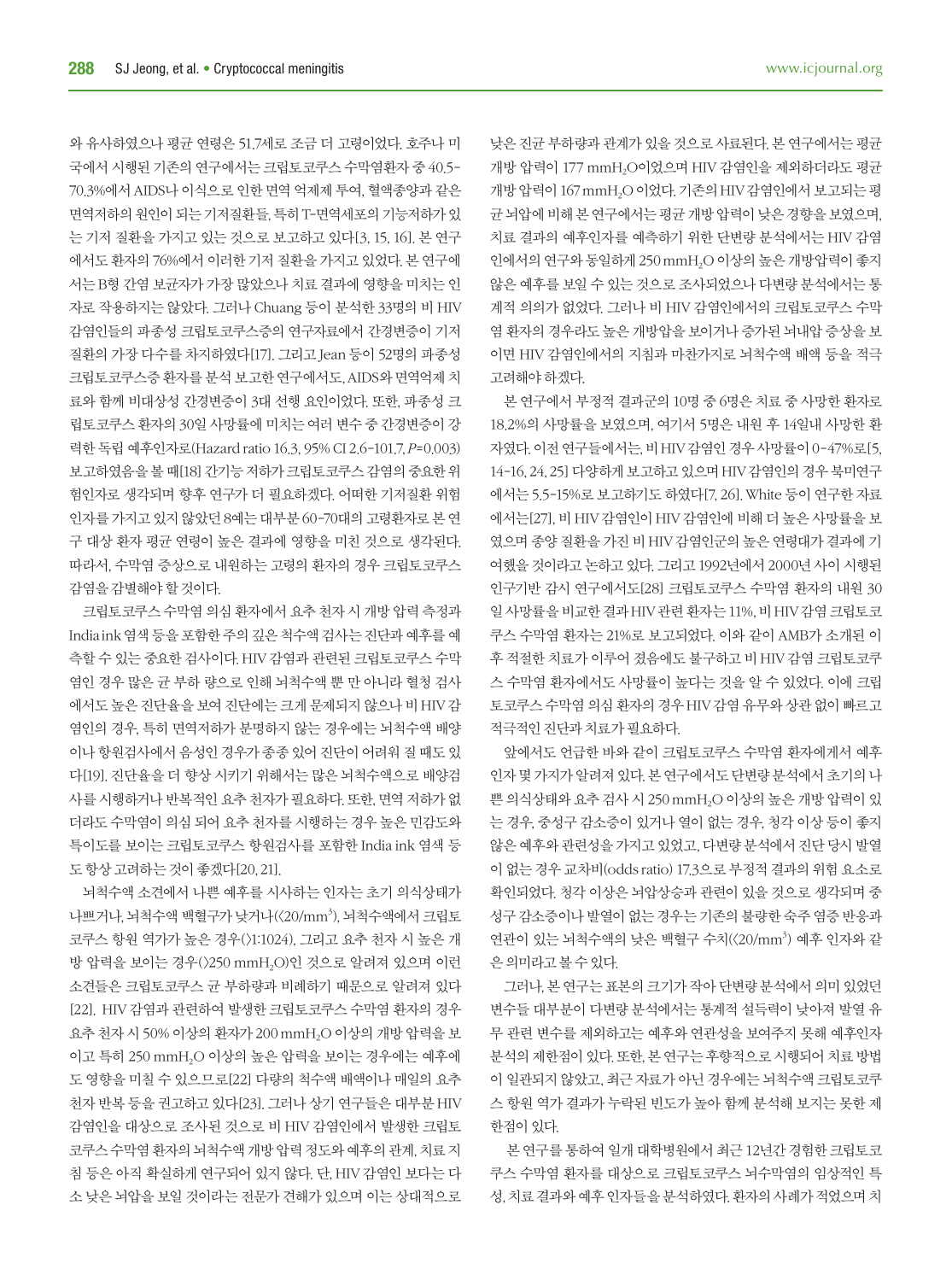와 유사하였으나 평균 연령은 51.7세로 조금 더 고령이었다. 호주나 미 국에서 시행된 기존의 연구에서는 크립토코쿠스 수막염환자 중 40.5- 70.3%에서 AIDS나 이식으로 인한 면역 억제제 투여, 혈액종양과 같은 면역저하의 원인이 되는 기저질환들, 특히 T-면역세포의 기능저하가 있 는 기저 질환을 가지고 있는 것으로 보고하고 있다[3, 15, 16]. 본 연구 에서도 환자의 76%에서 이러한 기저 질환을 가지고 있었다. 본 연구에 서는 B형 간염 보균자가 가장 많았으나 치료 결과에 영향을 미치는 인 자로 작용하지는 않았다. 그러나 Chuang 등이 분석한 33명의 비 HIV 감염인들의 파종성 크립토코쿠스증의 연구자료에서 간경변증이 기저 질환의 가장 다수를 차지하였다[17]. 그리고 Jean 등이 52명의 파종성 크립토코쿠스증 환자를 분석 보고한 연구에서도, AIDS와 면역억제 치 료와 함께 비대상성 간경변증이 3대 선행 요인이었다. 또한, 파종성 크 립토코쿠스 환자의 30일 사망률에 미치는 여러 변수 중 간경변증이 강 력한 독립 예후인자로(Hazard ratio 16.3, 95% CI 2.6-101.7, P=0.003) 보고하였음을 볼 때[18] 간기능 저하가 크립토코쿠스 감염의 중요한 위 험인자로 생각되며 향후 연구가 더 필요하겠다. 어떠한 기저질환 위험 인자를 가지고 있지 않았던 8예는 대부분 60-70대의 고령환자로 본 연 구 대상 환자 평균 연령이 높은 결과에 영향을 미친 것으로 생각된다. 따라서, 수막염 증상으로 내원하는 고령의 환자의 경우 크립토코쿠스 감염을 감별해야 할 것이다.

크립토코쿠스 수막염 의심 환자에서 요추 천자 시 개방 압력 측정과 India ink 염색 등을 포함한 주의 깊은 척수액 검사는 진단과 예후를 예 측할 수 있는 중요한 검사이다. HIV 감염과 관련된 크립토코쿠스 수막 염인 경우 많은 균 부하 량으로 인해 뇌척수액 뿐 만 아니라 혈청 검사 에서도 높은 진단율을 보여 진단에는 크게 문제되지 않으나 비 HIV 감 염인의 경우, 특히 면역저하가 분명하지 않는 경우에는 뇌척수액 배양 이나 항원검사에서 음성인 경우가 종종 있어 진단이 어려워 질 때도 있 다[19]. 진단율을 더 향상 시키기 위해서는 많은 뇌척수액으로 배양검 사를 시행하거나 반복적인 요추 천자가 필요하다. 또한, 면역 저하가 없 더라도 수막염이 의심 되어 요추 천자를 시행하는 경우 높은 민감도와 특이도를 보이는 크립토코쿠스 항원검사를 포함한 India ink 염색 등 도 항상 고려하는 것이 좋겠다[20, 21].

뇌척수액 소견에서 나쁜 예후를 시사하는 인자는 초기 의식상태가 나쁘거나, 뇌척수액 백혈구가 낮거나(〈20/mm<sup>3</sup>), 뇌척수액에서 크립토 코쿠스 항원 역가가 높은 경우(>1:1024), 그리고 요추 천자 시 높은 개 방 압력을 보이는 경우(>250 mmH2O)인 것으로 알려져 있으며 이런 소견들은 크립토코쿠스 균 부하량과 비례하기 때문으로 알려져 있다 [22]. HIV 감염과 관련하여 발생한 크립토코쿠스 수막염 환자의 경우 요추 천자 시 50% 이상의 환자가 200 mmH<sub>2</sub>O 이상의 개방 압력을 보 이고 특히 250 mmH2O 이상의 높은 압력을 보이는 경우에는 예후에 도 영향을 미칠 수 있으므로[22] 다량의 척수액 배액이나 매일의 요추 천자 반복 등을 권고하고 있다[23]. 그러나 상기 연구들은 대부분 HIV 감염인을 대상으로 조사된 것으로 비 HIV 감염인에서 발생한 크립토 코쿠스 수막염 환자의 뇌척수액 개방 압력 정도와 예후의 관계, 치료 지 침 등은 아직 확실하게 연구되어 있지 않다. 단, HIV 감염인 보다는 다 소 낮은 뇌압을 보일 것이라는 전문가 견해가 있으며 이는 상대적으로 낮은 진균 부하량과 관계가 있을 것으로 사료된다. 본 연구에서는 평균 개방 압력이 177 mmH2O이었으며 HIV 감염인을 제외하더라도 평균 개방 압력이 167 mmH2O 이었다. 기존의 HIV 감염인에서 보고되는 평 균 뇌압에 비해 본 연구에서는 평균 개방 압력이 낮은 경향을 보였으며, 치료 결과의 예후인자를 예측하기 위한 단변량 분석에서는 HIV 감염 인에서의 연구와 동일하게 250 mmH2O 이상의 높은 개방압력이 좋지 않은 예후를 보일 수 있는 것으로 조사되었으나 다변량 분석에서는 통 계적 의의가 없었다. 그러나 비 HIV 감염인에서의 크립토코쿠스 수막 염 환자의 경우라도 높은 개방압을 보이거나 증가된 뇌내압 증상을 보 이면 HIV 감염인에서의 지침과 마찬가지로 뇌척수액 배액 등을 적극 고려해야 하겠다.

본 연구에서 부정적 결과군의 10명 중 6명은 치료 중 사망한 환자로 18.2%의 사망률을 보였으며, 여기서 5명은 내원 후 14일내 사망한 환 자였다. 이전 연구들에서는, 비 HIV 감염인 경우 사망률이 0-47%로[5, 14-16, 24, 25] 다양하게 보고하고 있으며 HIV 감염인의 경우 북미연구 에서는 5.5-15%로 보고하기도 하였다[7, 26]. White 등이 연구한 자료 에서는[27], 비 HIV 감염인이 HIV 감염인에 비해 더 높은 사망률을 보 였으며 종양 질환을 가진 비 HIV 감염인군의 높은 연령대가 결과에 기 여했을 것이라고 논하고 있다. 그리고 1992년에서 2000년 사이 시행된 인구기반 감시 연구에서도[28] 크립토코쿠스 수막염 환자의 내원 30 일 사망률을 비교한 결과 HIV 관련 환자는 11%, 비 HIV 감염 크립토코 쿠스 수막염 환자는 21%로 보고되었다. 이와 같이 AMB가 소개된 이 후 적절한 치료가 이루어 졌음에도 불구하고 비 HIV 감염 크립토코쿠 스 수막염 환자에서도 사망률이 높다는 것을 알 수 있었다. 이에 크립 토코쿠스 수막염 의심 환자의 경우 HIV 감염 유무와 상관 없이 빠르고 적극적인 진단과 치료가 필요하다.

앞에서도 언급한 바와 같이 크립토코쿠스 수막염 환자에게서 예후 인자 몇 가지가 알려져 있다. 본 연구에서도 단변량 분석에서 초기의 나 쁜 의식상태와 요추 검사 시 250 mmH2O 이상의 높은 개방 압력이 있 는 경우, 중성구 감소증이 있거나 열이 없는 경우, 청각 이상 등이 좋지 않은 예후와 관련성을 가지고 있었고, 다변량 분석에서 진단 당시 발열 이 없는 경우 교차비(odds ratio) 17.3으로 부정적 결과의 위험 요소로 확인되었다. 청각 이상은 뇌압상승과 관련이 있을 것으로 생각되며 중 성구 감소증이나 발열이 없는 경우는 기존의 불량한 숙주 염증 반응과 연관이 있는 뇌척수액의 낮은 백혈구 수치(<20/mm<sup>3</sup>) 예후 인자와 같 은 의미라고 볼 수 있다.

그러나, 본 연구는 표본의 크기가 작아 단변량 분석에서 의미 있었던 변수들 대부분이 다변량 분석에서는 통계적 설득력이 낮아져 발열 유 무 관련 변수를 제외하고는 예후와 연관성을 보여주지 못해 예후인자 분석의 제한점이 있다. 또한, 본 연구는 후향적으로 시행되어 치료 방법 이 일관되지 않았고, 최근 자료가 아닌 경우에는 뇌척수액 크립토코쿠 스 항원 역가 결과가 누락된 빈도가 높아 함께 분석해 보지는 못한 제 한점이 있다.

 본 연구를 통하여 일개 대학병원에서 최근 12년간 경험한 크립토코 쿠스 수막염 환자를 대상으로 크립토코쿠스 뇌수막염의 임상적인 특 성, 치료 결과와 예후 인자들을 분석하였다. 환자의 사례가 적었으며 치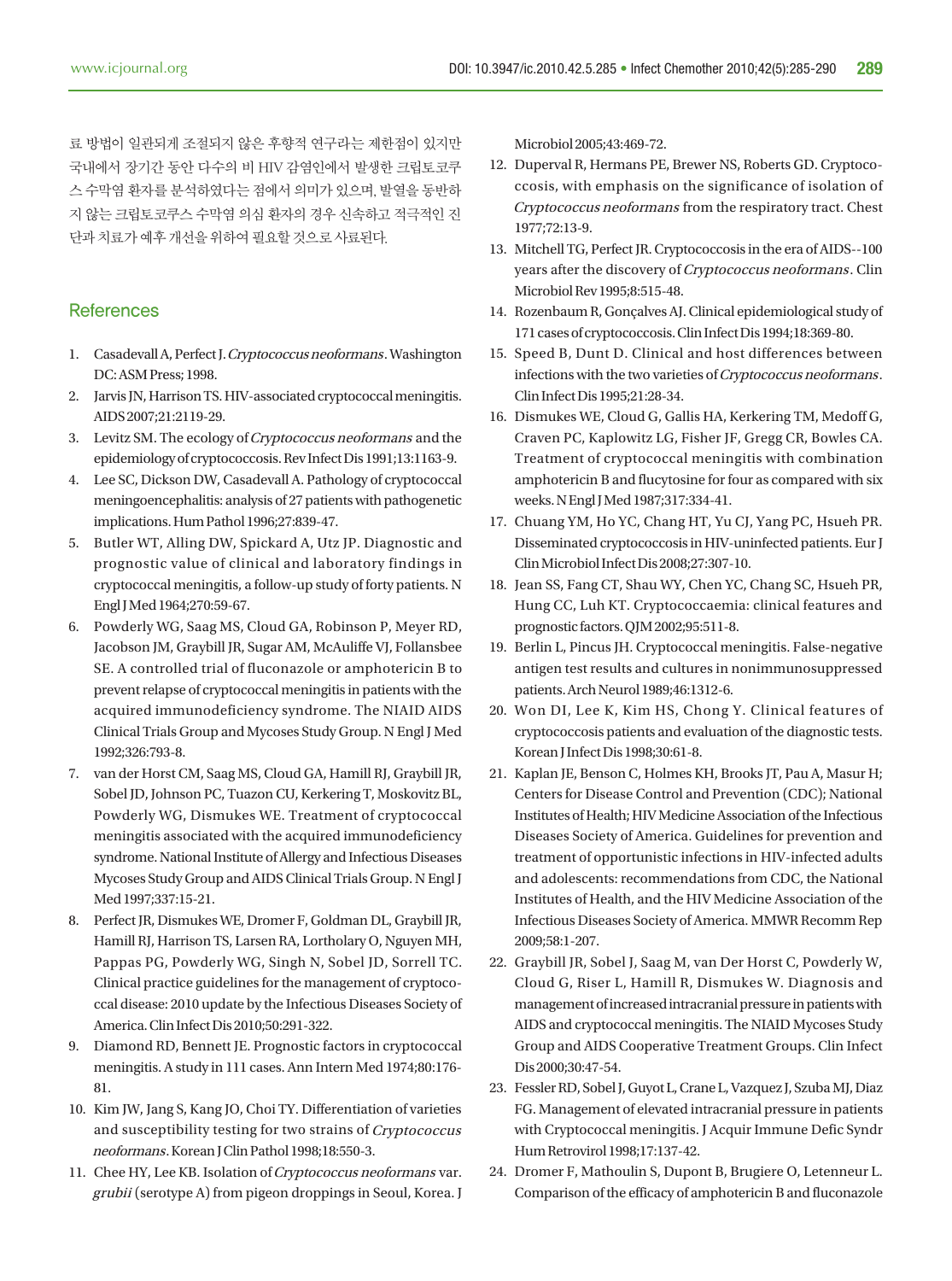료 방법이 일관되게 조절되지 않은 후향적 연구라는 제한점이 있지만 국내에서 장기간 동안 다수의 비 HIV 감염인에서 발생한 크립토코쿠 스 수막염 환자를 분석하였다는 점에서 의미가 있으며, 발열을 동반하 지 않는 크립토코쿠스 수막염 의심 환자의 경우 신속하고 적극적인 진 단과 치료가 예후 개선을 위하여 필요할 것으로 사료된다.

#### **References**

- 1. Casadevall A, Perfect J. Cryptococcus neoformans. Washington DC: ASM Press; 1998.
- 2. Jarvis JN, Harrison TS. HIV-associated cryptococcal meningitis. AIDS 2007;21:2119-29.
- 3. Levitz SM. The ecology of Cryptococcus neoformans and the epidemiology of cryptococcosis. Rev Infect Dis 1991;13:1163-9.
- 4. Lee SC, Dickson DW, Casadevall A. Pathology of cryptococcal meningoencephalitis: analysis of 27 patients with pathogenetic implications. Hum Pathol 1996;27:839-47.
- 5. Butler WT, Alling DW, Spickard A, Utz JP. Diagnostic and prognostic value of clinical and laboratory findings in cryptococcal meningitis, a follow-up study of forty patients. N Engl J Med 1964;270:59-67.
- 6. Powderly WG, Saag MS, Cloud GA, Robinson P, Meyer RD, Jacobson JM, Graybill JR, Sugar AM, McAuliffe VJ, Follansbee SE. A controlled trial of fluconazole or amphotericin B to prevent relapse of cryptococcal meningitis in patients with the acquired immunodeficiency syndrome. The NIAID AIDS Clinical Trials Group and Mycoses Study Group. N Engl J Med 1992;326:793-8.
- 7. van der Horst CM, Saag MS, Cloud GA, Hamill RJ, Graybill JR, Sobel JD, Johnson PC, Tuazon CU, Kerkering T, Moskovitz BL, Powderly WG, Dismukes WE. Treatment of cryptococcal meningitis associated with the acquired immunodeficiency syndrome. National Institute of Allergy and Infectious Diseases Mycoses Study Group and AIDS Clinical Trials Group. N Engl J Med 1997;337:15-21.
- 8. Perfect JR, Dismukes WE, Dromer F, Goldman DL, Graybill JR, Hamill RJ, Harrison TS, Larsen RA, Lortholary O, Nguyen MH, Pappas PG, Powderly WG, Singh N, Sobel JD, Sorrell TC. Clinical practice guidelines for the management of cryptococcal disease: 2010 update by the Infectious Diseases Society of America. Clin Infect Dis 2010;50:291-322.
- 9. Diamond RD, Bennett JE. Prognostic factors in cryptococcal meningitis. A study in 111 cases. Ann Intern Med 1974;80:176- 81.
- 10. Kim JW, Jang S, Kang JO, Choi TY. Differentiation of varieties and susceptibility testing for two strains of Cryptococcus neoformans. Korean J Clin Pathol 1998;18:550-3.
- 11. Chee HY, Lee KB. Isolation of Cryptococcus neoformans var. grubii (serotype A) from pigeon droppings in Seoul, Korea. J

Microbiol 2005;43:469-72.

- 12. Duperval R, Hermans PE, Brewer NS, Roberts GD. Cryptococcosis, with emphasis on the significance of isolation of Cryptococcus neoformans from the respiratory tract. Chest 1977;72:13-9.
- 13. Mitchell TG, Perfect JR. Cryptococcosis in the era of AIDS--100 years after the discovery of Cryptococcus neoformans . Clin Microbiol Rev 1995;8:515-48.
- 14. Rozenbaum R, Gonçalves AJ. Clinical epidemiological study of 171 cases of cryptococcosis. Clin Infect Dis 1994;18:369-80.
- 15. Speed B, Dunt D. Clinical and host differences between infections with the two varieties of Cryptococcus neoformans. Clin Infect Dis 1995;21:28-34.
- 16. Dismukes WE, Cloud G, Gallis HA, Kerkering TM, Medoff G, Craven PC, Kaplowitz LG, Fisher JF, Gregg CR, Bowles CA. Treatment of cryptococcal meningitis with combination amphotericin B and flucytosine for four as compared with six weeks. N Engl J Med 1987;317:334-41.
- 17. Chuang YM, Ho YC, Chang HT, Yu CJ, Yang PC, Hsueh PR. Disseminated cryptococcosis in HIV-uninfected patients. Eur J Clin Microbiol Infect Dis 2008;27:307-10.
- 18. Jean SS, Fang CT, Shau WY, Chen YC, Chang SC, Hsueh PR, Hung CC, Luh KT. Cryptococcaemia: clinical features and prognostic factors. QJM 2002;95:511-8.
- 19. Berlin L, Pincus JH. Cryptococcal meningitis. False-negative antigen test results and cultures in nonimmunosuppressed patients. Arch Neurol 1989;46:1312-6.
- 20. Won DI, Lee K, Kim HS, Chong Y. Clinical features of cryptococcosis patients and evaluation of the diagnostic tests. Korean J Infect Dis 1998;30:61-8.
- 21. Kaplan JE, Benson C, Holmes KH, Brooks JT, Pau A, Masur H; Centers for Disease Control and Prevention (CDC); National Institutes of Health; HIV Medicine Association of the Infectious Diseases Society of America. Guidelines for prevention and treatment of opportunistic infections in HIV-infected adults and adolescents: recommendations from CDC, the National Institutes of Health, and the HIV Medicine Association of the Infectious Diseases Society of America. MMWR Recomm Rep 2009;58:1-207.
- 22. Graybill JR, Sobel J, Saag M, van Der Horst C, Powderly W, Cloud G, Riser L, Hamill R, Dismukes W. Diagnosis and management of increased intracranial pressure in patients with AIDS and cryptococcal meningitis. The NIAID Mycoses Study Group and AIDS Cooperative Treatment Groups. Clin Infect Dis 2000;30:47-54.
- 23. Fessler RD, Sobel J, Guyot L, Crane L, Vazquez J, Szuba MJ, Diaz FG. Management of elevated intracranial pressure in patients with Cryptococcal meningitis. J Acquir Immune Defic Syndr Hum Retrovirol 1998;17:137-42.
- 24. Dromer F, Mathoulin S, Dupont B, Brugiere O, Letenneur L. Comparison of the efficacy of amphotericin B and fluconazole